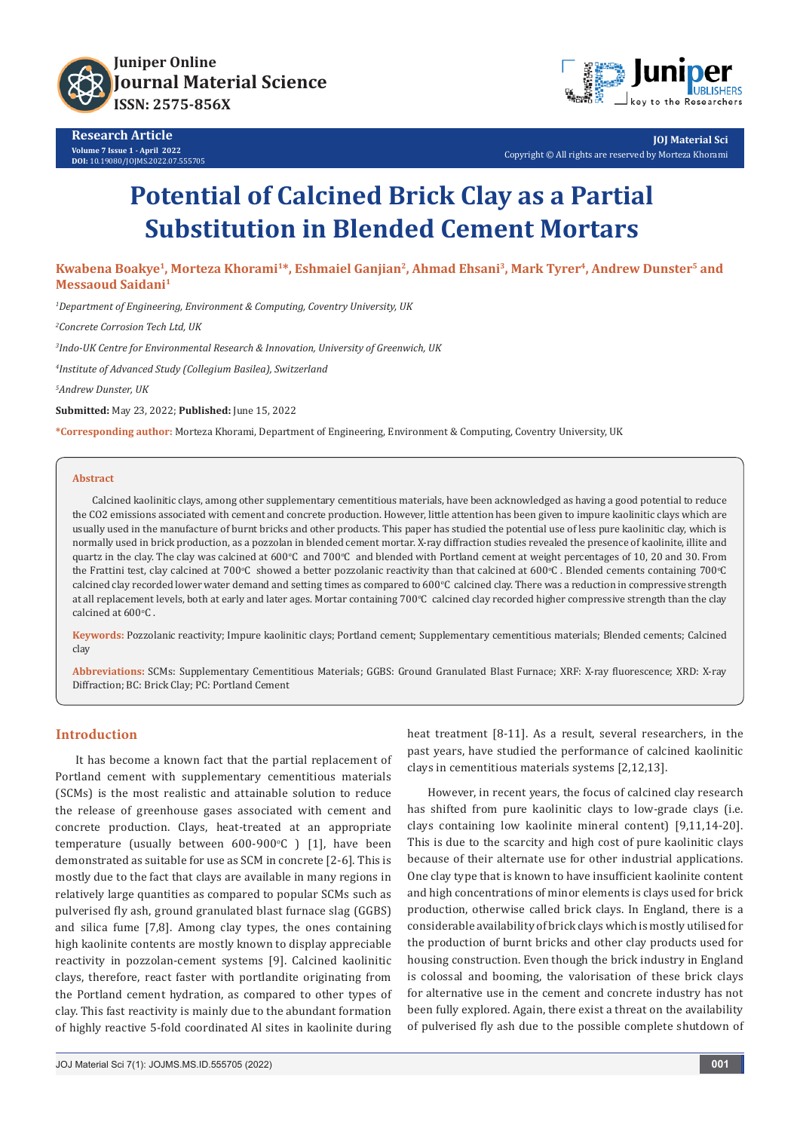



**JOJ Material Sci** Copyright © All rights are reserved by Morteza Khorami

# **Potential of Calcined Brick Clay as a Partial Substitution in Blended Cement Mortars**

**Kwabena Boakye1, Morteza Khorami1\*, Eshmaiel Ganjian2, Ahmad Ehsani3, Mark Tyrer4, Andrew Dunster5 and Messaoud Saidani1**

*1 Department of Engineering, Environment & Computing, Coventry University, UK*

*2 Concrete Corrosion Tech Ltd, UK*

*3 Indo-UK Centre for Environmental Research & Innovation, University of Greenwich, UK*

*4 Institute of Advanced Study (Collegium Basilea), Switzerland*

*5 Andrew Dunster, UK*

**Submitted:** May 23, 2022; **Published:** June 15, 2022

**\*Corresponding author:** Morteza Khorami, Department of Engineering, Environment & Computing, Coventry University, UK

#### **Abstract**

Calcined kaolinitic clays, among other supplementary cementitious materials, have been acknowledged as having a good potential to reduce the CO2 emissions associated with cement and concrete production. However, little attention has been given to impure kaolinitic clays which are usually used in the manufacture of burnt bricks and other products. This paper has studied the potential use of less pure kaolinitic clay, which is normally used in brick production, as a pozzolan in blended cement mortar. X-ray diffraction studies revealed the presence of kaolinite, illite and quartz in the clay. The clay was calcined at 600°C and 700°C and blended with Portland cement at weight percentages of 10, 20 and 30. From the Frattini test, clay calcined at 700°C showed a better pozzolanic reactivity than that calcined at 600°C . Blended cements containing 700°C calcined clay recorded lower water demand and setting times as compared to  $600^{\circ}$ C calcined clay. There was a reduction in compressive strength at all replacement levels, both at early and later ages. Mortar containing 700°C calcined clay recorded higher compressive strength than the clay calcined at  $600^{\circ}$ C.

**Keywords:** Pozzolanic reactivity; Impure kaolinitic clays; Portland cement; Supplementary cementitious materials; Blended cements; Calcined clay

**Abbreviations:** SCMs: Supplementary Cementitious Materials; GGBS: Ground Granulated Blast Furnace; XRF: X-ray fluorescence; XRD: X-ray Diffraction; BC: Brick Clay; PC: Portland Cement

#### **Introduction**

It has become a known fact that the partial replacement of Portland cement with supplementary cementitious materials (SCMs) is the most realistic and attainable solution to reduce the release of greenhouse gases associated with cement and concrete production. Clays, heat-treated at an appropriate temperature (usually between 600-900°C) [1], have been demonstrated as suitable for use as SCM in concrete [2-6]. This is mostly due to the fact that clays are available in many regions in relatively large quantities as compared to popular SCMs such as pulverised fly ash, ground granulated blast furnace slag (GGBS) and silica fume [7,8]. Among clay types, the ones containing high kaolinite contents are mostly known to display appreciable reactivity in pozzolan-cement systems [9]. Calcined kaolinitic clays, therefore, react faster with portlandite originating from the Portland cement hydration, as compared to other types of clay. This fast reactivity is mainly due to the abundant formation of highly reactive 5-fold coordinated Al sites in kaolinite during

the production of burnt bricks and other clay products used for

housing construction. Even though the brick industry in England is colossal and booming, the valorisation of these brick clays for alternative use in the cement and concrete industry has not been fully explored. Again, there exist a threat on the availability of pulverised fly ash due to the possible complete shutdown of

heat treatment [8-11]. As a result, several researchers, in the past years, have studied the performance of calcined kaolinitic

However, in recent years, the focus of calcined clay research has shifted from pure kaolinitic clays to low-grade clays (i.e. clays containing low kaolinite mineral content) [9,11,14-20]. This is due to the scarcity and high cost of pure kaolinitic clays because of their alternate use for other industrial applications. One clay type that is known to have insufficient kaolinite content and high concentrations of minor elements is clays used for brick production, otherwise called brick clays. In England, there is a considerable availability of brick clays which is mostly utilised for

clays in cementitious materials systems [2,12,13].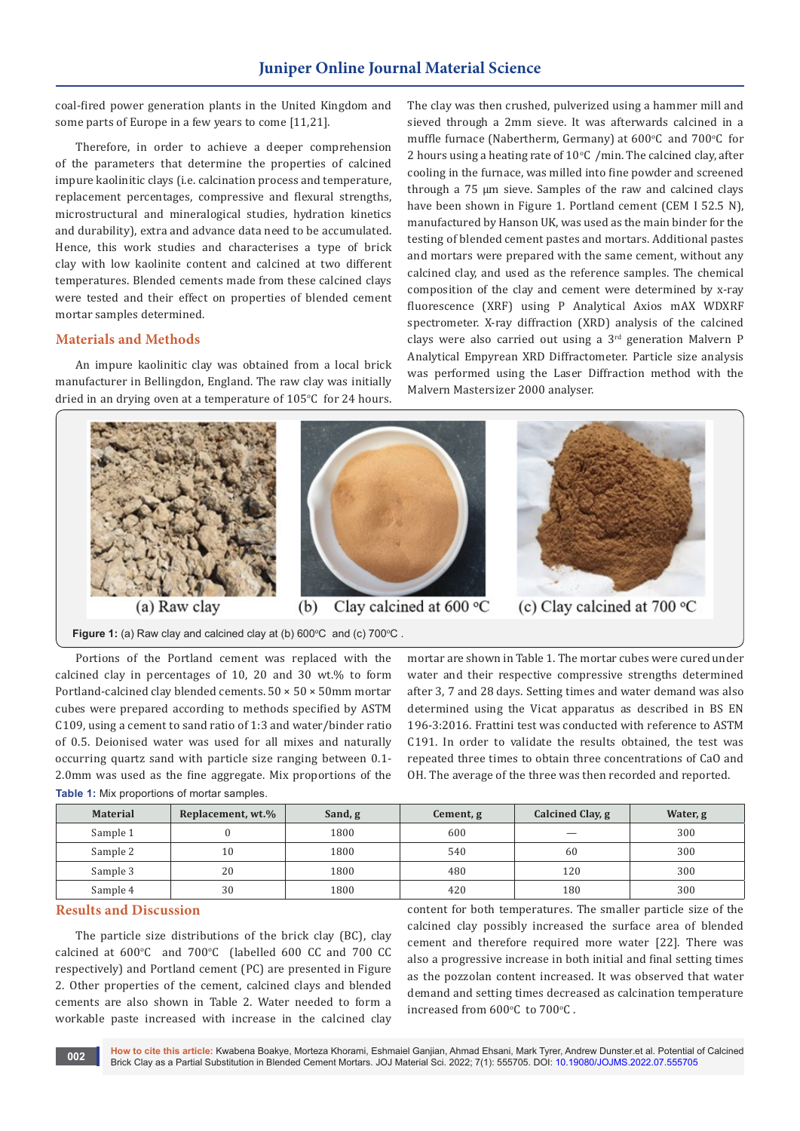coal-fired power generation plants in the United Kingdom and some parts of Europe in a few years to come [11,21].

Therefore, in order to achieve a deeper comprehension of the parameters that determine the properties of calcined impure kaolinitic clays (i.e. calcination process and temperature, replacement percentages, compressive and flexural strengths, microstructural and mineralogical studies, hydration kinetics and durability), extra and advance data need to be accumulated. Hence, this work studies and characterises a type of brick clay with low kaolinite content and calcined at two different temperatures. Blended cements made from these calcined clays were tested and their effect on properties of blended cement mortar samples determined.

## **Materials and Methods**

An impure kaolinitic clay was obtained from a local brick manufacturer in Bellingdon, England. The raw clay was initially dried in an drying oven at a temperature of  $105^{\circ}$ C for 24 hours. The clay was then crushed, pulverized using a hammer mill and sieved through a 2mm sieve. It was afterwards calcined in a muffle furnace (Nabertherm, Germany) at  $600^{\circ}$ C and  $700^{\circ}$ C for 2 hours using a heating rate of  $10^{\circ}$ C /min. The calcined clay, after cooling in the furnace, was milled into fine powder and screened through a 75 µm sieve. Samples of the raw and calcined clays have been shown in Figure 1. Portland cement (CEM I 52.5 N), manufactured by Hanson UK, was used as the main binder for the testing of blended cement pastes and mortars. Additional pastes and mortars were prepared with the same cement, without any calcined clay, and used as the reference samples. The chemical composition of the clay and cement were determined by x-ray fluorescence (XRF) using P Analytical Axios mAX WDXRF spectrometer. X-ray diffraction (XRD) analysis of the calcined clays were also carried out using a 3<sup>rd</sup> generation Malvern P Analytical Empyrean XRD Diffractometer. Particle size analysis was performed using the Laser Diffraction method with the Malvern Mastersizer 2000 analyser.



Portions of the Portland cement was replaced with the calcined clay in percentages of 10, 20 and 30 wt.% to form Portland-calcined clay blended cements.  $50 \times 50 \times 50$ mm mortar cubes were prepared according to methods specified by ASTM C109, using a cement to sand ratio of 1:3 and water/binder ratio of 0.5. Deionised water was used for all mixes and naturally occurring quartz sand with particle size ranging between 0.1- 2.0mm was used as the fine aggregate. Mix proportions of the **Table 1:** Mix proportions of mortar samples.

mortar are shown in Table 1. The mortar cubes were cured under water and their respective compressive strengths determined after 3, 7 and 28 days. Setting times and water demand was also determined using the Vicat apparatus as described in BS EN 196-3:2016. Frattini test was conducted with reference to ASTM C191. In order to validate the results obtained, the test was repeated three times to obtain three concentrations of CaO and OH. The average of the three was then recorded and reported.

| <b>Material</b> | Replacement, wt.% | Sand, g | Cement, g | Calcined Clay, g | Water, g |
|-----------------|-------------------|---------|-----------|------------------|----------|
| Sample 1        |                   | 1800    | 600       |                  | 300      |
| Sample 2        | 10                | 1800    | 540       | 60               | 300      |
| Sample 3        | 20                | 1800    | 480       | 120              | 300      |
| Sample 4        | 30                | 1800    | 420       | 180              | 300      |

## **Results and Discussion**

The particle size distributions of the brick clay (BC), clay  $cal$  calcined at  $600^{\circ}$ C and  $700^{\circ}$ C (labelled  $600$  CC and  $700$  CC respectively) and Portland cement (PC) are presented in Figure 2. Other properties of the cement, calcined clays and blended cements are also shown in Table 2. Water needed to form a workable paste increased with increase in the calcined clay

content for both temperatures. The smaller particle size of the calcined clay possibly increased the surface area of blended cement and therefore required more water [22]. There was also a progressive increase in both initial and final setting times as the pozzolan content increased. It was observed that water demand and setting times decreased as calcination temperature increased from  $600^{\circ}$ C to  $700^{\circ}$ C.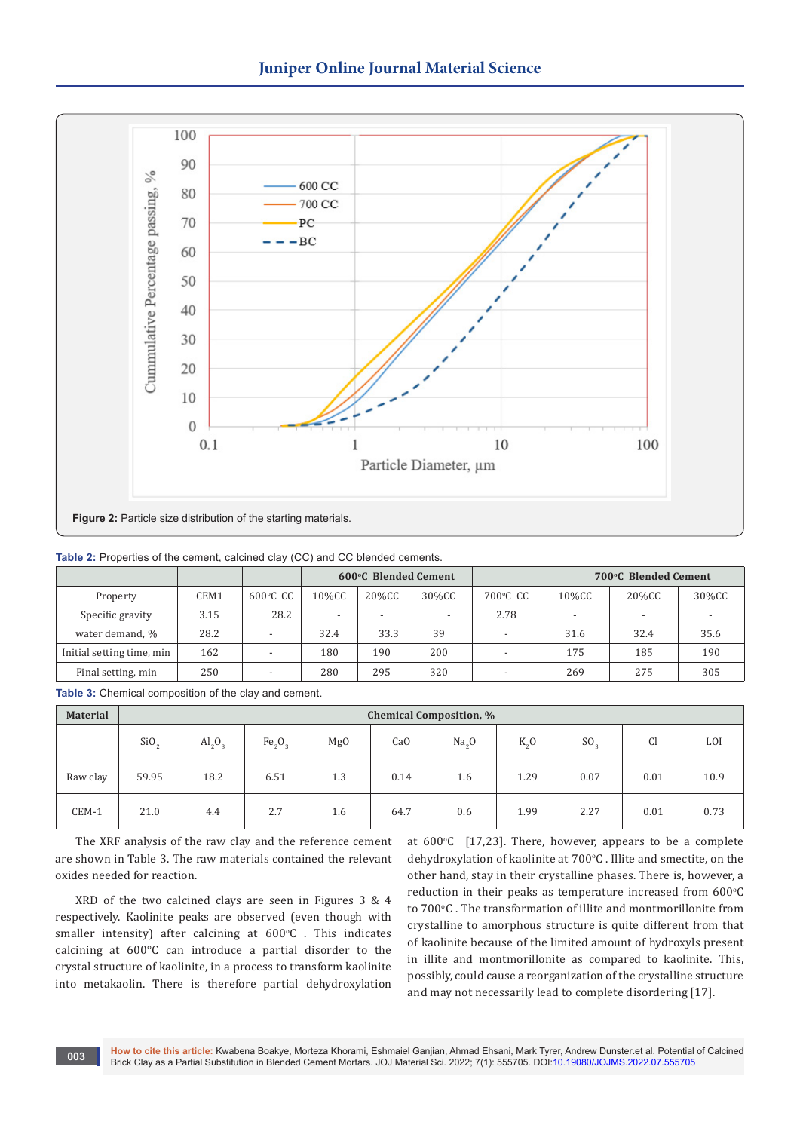

**Table 2:** Properties of the cement, calcined clay (CC) and CC blended cements.

|                           |      |                          | <b>600°C Blended Cement</b> |        |       |          | 700°C Blended Cement     |       |       |
|---------------------------|------|--------------------------|-----------------------------|--------|-------|----------|--------------------------|-------|-------|
| Property                  | CEM1 | $600^{\circ}$ C CC       | 10%CC                       | 20%CC  | 30%CC | 700°C CC | 10%CC                    | 20%CC | 30%CC |
| Specific gravity          | 3.15 | 28.2                     | -                           | $\sim$ | . .   | 2.78     | $\overline{\phantom{0}}$ |       |       |
| water demand, %           | 28.2 | $\overline{\phantom{0}}$ | 32.4                        | 33.3   | 39    |          | 31.6                     | 32.4  | 35.6  |
| Initial setting time, min | 162  | $\overline{\phantom{a}}$ | 180                         | 190    | 200   |          | 175                      | 185   | 190   |
| Final setting, min        | 250  | $\overline{\phantom{0}}$ | 280                         | 295    | 320   |          | 269                      | 275   | 305   |

**Table 3:** Chemical composition of the clay and cement.

| <b>Material</b> | <b>Chemical Composition, %</b> |                         |                                |     |      |                   |         |                 |               |      |
|-----------------|--------------------------------|-------------------------|--------------------------------|-----|------|-------------------|---------|-----------------|---------------|------|
|                 | SiO <sub>2</sub>               | $\text{Al}_2\text{O}_3$ | Fe <sub>2</sub> O <sub>3</sub> | Mg0 | CaO  | Na <sub>2</sub> O | $K_{0}$ | SO <sub>2</sub> | <sub>C1</sub> | LOI  |
| Raw clay        | 59.95                          | 18.2                    | 6.51                           | 1.3 | 0.14 | 1.6               | 1.29    | 0.07            | 0.01          | 10.9 |
| CEM-1           | 21.0                           | 4.4                     | 2.7                            | 1.6 | 64.7 | 0.6               | 1.99    | 2.27            | 0.01          | 0.73 |

The XRF analysis of the raw clay and the reference cement are shown in Table 3. The raw materials contained the relevant oxides needed for reaction.

XRD of the two calcined clays are seen in Figures 3 & 4 respectively. Kaolinite peaks are observed (even though with  $smaller$  intensity) after calcining at  $600^{\circ}$ C . This indicates calcining at 600°C can introduce a partial disorder to the crystal structure of kaolinite, in a process to transform kaolinite into metakaolin. There is therefore partial dehydroxylation

at  $600^{\circ}$ C [17,23]. There, however, appears to be a complete dehydroxylation of kaolinite at 700°C . Illite and smectite, on the other hand, stay in their crystalline phases. There is, however, a reduction in their peaks as temperature increased from  $600^{\circ}$ C to 700°C . The transformation of illite and montmorillonite from crystalline to amorphous structure is quite different from that of kaolinite because of the limited amount of hydroxyls present in illite and montmorillonite as compared to kaolinite. This, possibly, could cause a reorganization of the crystalline structure and may not necessarily lead to complete disordering [17].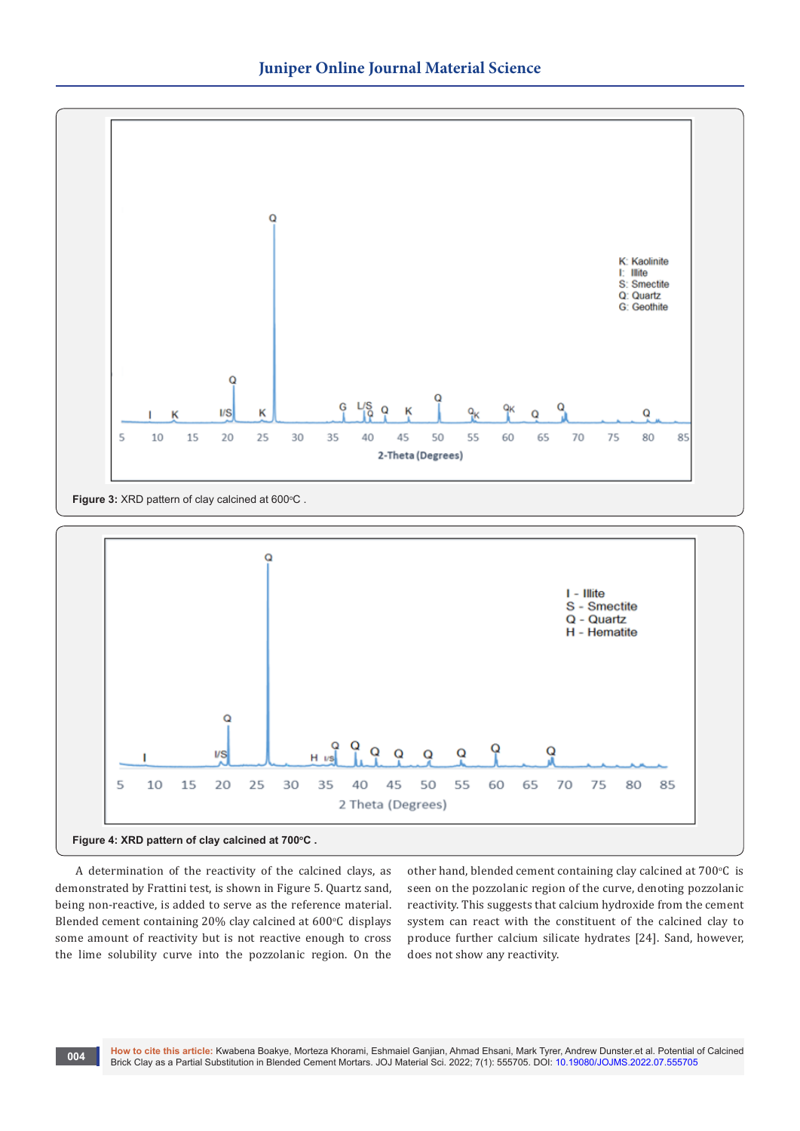

**Figure 3: XRD pattern of clay calcined at 600°C.** 



A determination of the reactivity of the calcined clays, as demonstrated by Frattini test, is shown in Figure 5. Quartz sand, being non-reactive, is added to serve as the reference material. Blended cement containing 20% clay calcined at  $600^{\circ}$ C displays some amount of reactivity but is not reactive enough to cross the lime solubility curve into the pozzolanic region. On the

other hand, blended cement containing clay calcined at  $700^{\circ}$ C is seen on the pozzolanic region of the curve, denoting pozzolanic reactivity. This suggests that calcium hydroxide from the cement system can react with the constituent of the calcined clay to produce further calcium silicate hydrates [24]. Sand, however, does not show any reactivity.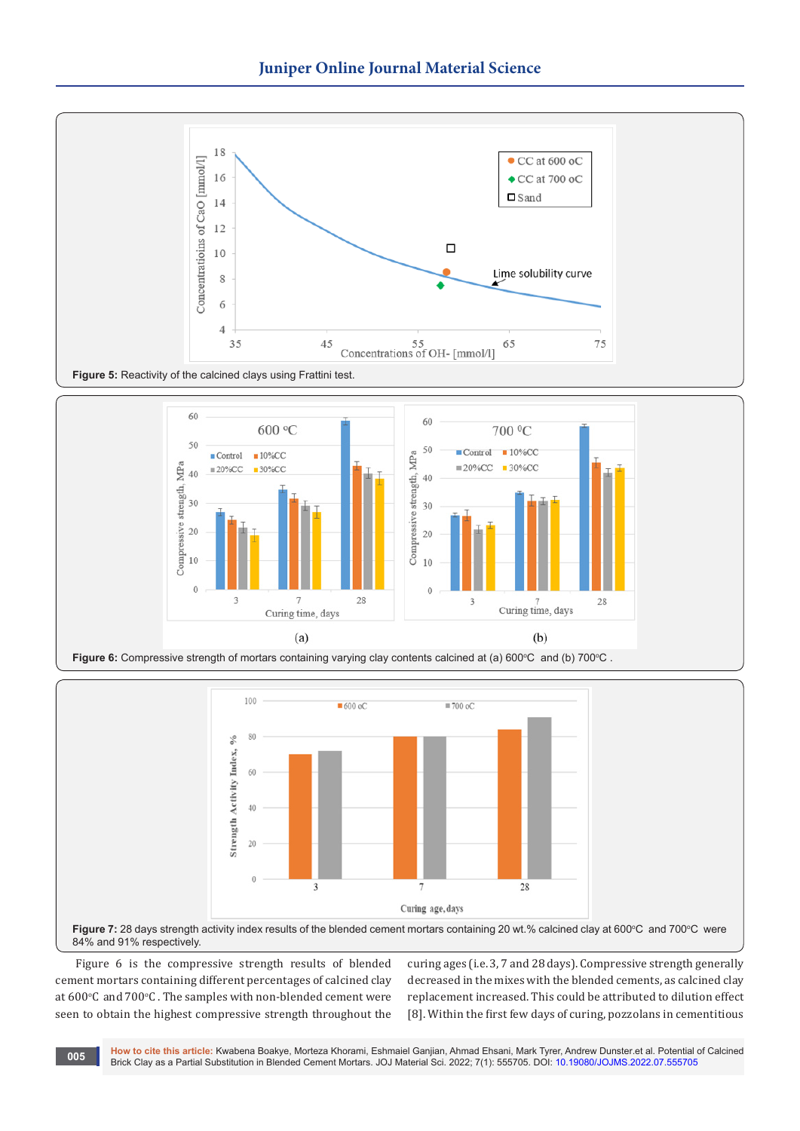







Figure 6 is the compressive strength results of blended cement mortars containing different percentages of calcined clay at  $600^{\circ}$ C and  $700^{\circ}$ C . The samples with non-blended cement were seen to obtain the highest compressive strength throughout the

curing ages (i.e. 3, 7 and 28 days). Compressive strength generally decreased in the mixes with the blended cements, as calcined clay replacement increased. This could be attributed to dilution effect [8]. Within the first few days of curing, pozzolans in cementitious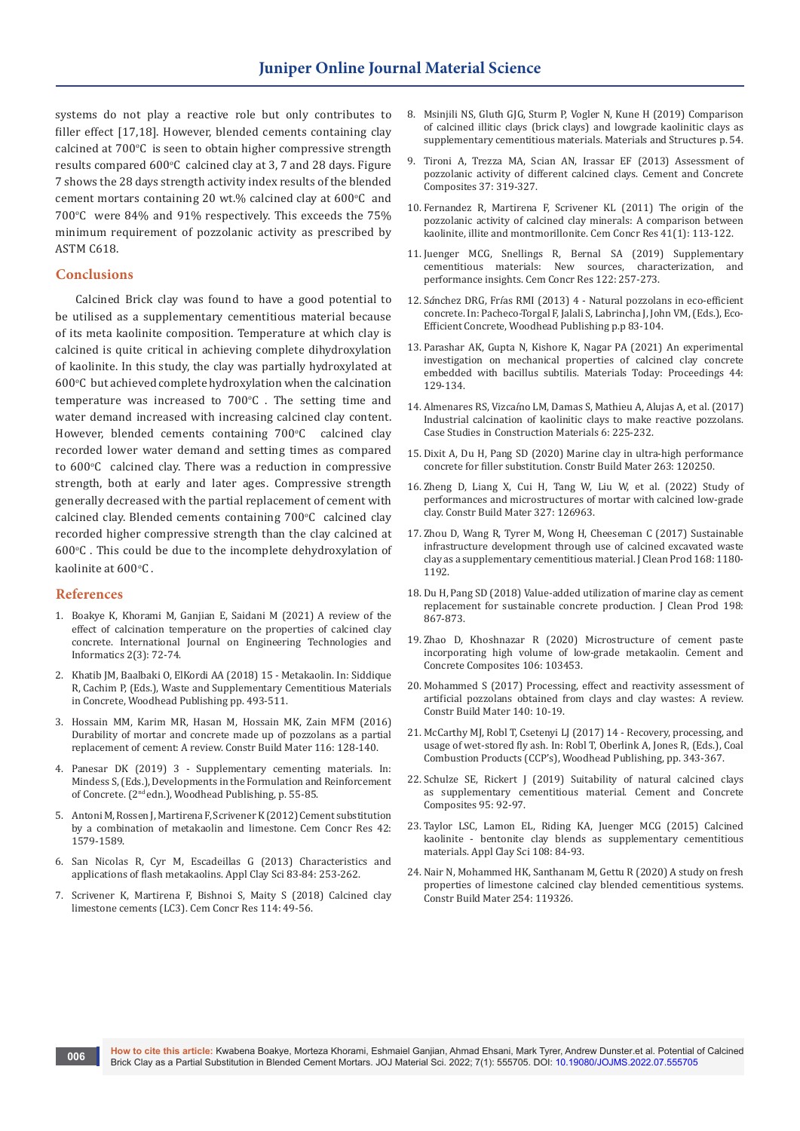systems do not play a reactive role but only contributes to filler effect [17,18]. However, blended cements containing clay calcined at 700°C is seen to obtain higher compressive strength results compared  $600^{\circ}$ C calcined clay at 3, 7 and 28 days. Figure 7 shows the 28 days strength activity index results of the blended cement mortars containing 20 wt.% calcined clay at  $600^{\circ}$ C and  $700^{\circ}$ C were 84% and 91% respectively. This exceeds the  $75\%$ minimum requirement of pozzolanic activity as prescribed by ASTM C618.

#### **Conclusions**

Calcined Brick clay was found to have a good potential to be utilised as a supplementary cementitious material because of its meta kaolinite composition. Temperature at which clay is calcined is quite critical in achieving complete dihydroxylation of kaolinite. In this study, the clay was partially hydroxylated at 600°C but achieved complete hydroxylation when the calcination  $temperature$  was increased to  $700^{\circ}$ C . The setting time and water demand increased with increasing calcined clay content. However, blended cements containing 700°C calcined clay recorded lower water demand and setting times as compared to 600°C calcined clay. There was a reduction in compressive strength, both at early and later ages. Compressive strength generally decreased with the partial replacement of cement with  $cal$  calcined clay. Blended cements containing  $700^{\circ}$ C calcined clay recorded higher compressive strength than the clay calcined at  $600^{\circ}$ C . This could be due to the incomplete dehydroxylation of kaolinite at 600°C .

#### **References**

- 1. [Boakye K, Khorami M, Ganjian E, Saidani M \(2021\) A review of the](https://skeenapublishers.com/journal/ijeti/IJETI-02-00016.pdf)  [effect of calcination temperature on the properties of calcined clay](https://skeenapublishers.com/journal/ijeti/IJETI-02-00016.pdf)  [concrete. International Journal on Engineering Technologies and](https://skeenapublishers.com/journal/ijeti/IJETI-02-00016.pdf)  [Informatics 2\(3\): 72-74.](https://skeenapublishers.com/journal/ijeti/IJETI-02-00016.pdf)
- 2. Khatib JM, Baalbaki O, ElKordi AA (2018) 15 Metakaolin. In: Siddique R, Cachim P, (Eds.), Waste and Supplementary Cementitious Materials in Concrete, Woodhead Publishing pp. 493-511.
- 3. [Hossain MM, Karim MR, Hasan M, Hossain MK, Zain MFM \(2016\)](https://www.sciencedirect.com/science/article/abs/pii/S0950061816307024)  [Durability of mortar and concrete made up of pozzolans as a partial](https://www.sciencedirect.com/science/article/abs/pii/S0950061816307024)  [replacement of cement: A review. Constr Build Mater 116: 128-140.](https://www.sciencedirect.com/science/article/abs/pii/S0950061816307024)
- 4. Panesar DK (2019) 3 Supplementary cementing materials. In: Mindess S, (Eds.), Developments in the Formulation and Reinforcement of Concrete. (2nd edn.), Woodhead Publishing, p. 55-85.
- 5. [Antoni M, Rossen J, Martirena F, Scrivener K \(2012\) Cement substitution](https://www.sciencedirect.com/science/article/abs/pii/S0008884612002074)  [by a combination of metakaolin and limestone. Cem Concr Res 42:](https://www.sciencedirect.com/science/article/abs/pii/S0008884612002074)  [1579-1589.](https://www.sciencedirect.com/science/article/abs/pii/S0008884612002074)
- 6. [San Nicolas R, Cyr M, Escadeillas G \(2013\) Characteristics and](https://www.sciencedirect.com/science/article/abs/pii/S0169131713002810)  [applications of flash metakaolins. Appl Clay Sci 83-84: 253-262.](https://www.sciencedirect.com/science/article/abs/pii/S0169131713002810)
- 7. [Scrivener K, Martirena F, Bishnoi S, Maity S \(2018\) Calcined clay](https://www.sciencedirect.com/science/article/abs/pii/S0008884617302454)  [limestone cements \(LC3\). Cem Concr Res 114: 49-56.](https://www.sciencedirect.com/science/article/abs/pii/S0008884617302454)
- 8. [Msinjili NS, Gluth GJG, Sturm P, Vogler N, Kune H \(2019\) Comparison](https://link.springer.com/article/10.1617/s11527-019-1393-2)  [of calcined illitic clays \(brick clays\) and lowgrade kaolinitic clays as](https://link.springer.com/article/10.1617/s11527-019-1393-2)  [supplementary cementitious materials. Materials and Structures p. 54.](https://link.springer.com/article/10.1617/s11527-019-1393-2)
- 9. [Tironi A, Trezza MA, Scian AN, Irassar EF \(2013\) Assessment of](https://www.sciencedirect.com/science/article/abs/pii/S0958946513000048)  [pozzolanic activity of different calcined clays. Cement and Concrete](https://www.sciencedirect.com/science/article/abs/pii/S0958946513000048)  [Composites 37: 319-327.](https://www.sciencedirect.com/science/article/abs/pii/S0958946513000048)
- 10. [Fernandez R, Martirena F, Scrivener KL \(2011\) The origin of the](https://www.sciencedirect.com/science/article/abs/pii/S0008884610002176)  [pozzolanic activity of calcined clay minerals: A comparison between](https://www.sciencedirect.com/science/article/abs/pii/S0008884610002176)  [kaolinite, illite and montmorillonite. Cem Concr Res 41\(1\): 113-122.](https://www.sciencedirect.com/science/article/abs/pii/S0008884610002176)
- 11. [Juenger MCG, Snellings R, Bernal SA \(2019\) Supplementary](https://www.sciencedirect.com/science/article/abs/pii/S0008884619301693)  [cementitious materials: New sources, characterization, and](https://www.sciencedirect.com/science/article/abs/pii/S0008884619301693)  [performance insights. Cem Concr Res 122: 257-273.](https://www.sciencedirect.com/science/article/abs/pii/S0008884619301693)
- 12. S*á*nchez DRG, Fr*í*as RMI (2013) 4 Natural pozzolans in eco-efficient concrete. In: Pacheco-Torgal F, Jalali S, Labrincha J, John VM, (Eds.), Eco-Efficient Concrete, Woodhead Publishing p.p 83-104.
- 13. Parashar AK, Gupta N, Kishore K, Nagar PA (2021) An experimental investigation on mechanical properties of calcined clay concrete embedded with bacillus subtilis. Materials Today: Proceedings 44: 129-134.
- 14. Almenares RS, Vizca*í*[no LM, Damas S, Mathieu A, Alujas A, et al. \(2017\)](https://www.sciencedirect.com/science/article/pii/S2214509517300050)  [Industrial calcination of kaolinitic clays to make reactive pozzolans.](https://www.sciencedirect.com/science/article/pii/S2214509517300050)  [Case Studies in Construction Materials 6: 225-232.](https://www.sciencedirect.com/science/article/pii/S2214509517300050)
- 15. [Dixit A, Du H, Pang SD \(2020\) Marine clay in ultra-high performance](https://www.sciencedirect.com/science/article/abs/pii/S0950061820322558)  [concrete for filler substitution. Constr Build Mater 263: 120250.](https://www.sciencedirect.com/science/article/abs/pii/S0950061820322558)
- 16. [Zheng D, Liang X, Cui H, Tang W, Liu W, et al. \(2022\) Study of](https://www.sciencedirect.com/science/article/abs/pii/S0950061822006481)  [performances and microstructures of mortar with calcined low-grade](https://www.sciencedirect.com/science/article/abs/pii/S0950061822006481)  [clay. Constr Build Mater 327: 126963.](https://www.sciencedirect.com/science/article/abs/pii/S0950061822006481)
- 17. [Zhou D, Wang R, Tyrer M, Wong H, Cheeseman C \(2017\) Sustainable](https://www.sciencedirect.com/science/article/abs/pii/S0959652617320887)  [infrastructure development through use of calcined excavated waste](https://www.sciencedirect.com/science/article/abs/pii/S0959652617320887)  [clay as a supplementary cementitious material. J Clean Prod 168: 1180-](https://www.sciencedirect.com/science/article/abs/pii/S0959652617320887) [1192.](https://www.sciencedirect.com/science/article/abs/pii/S0959652617320887)
- 18. [Du H, Pang SD \(2018\) Value-added utilization of marine clay as cement](https://www.sciencedirect.com/science/article/abs/pii/S0959652618320419)  [replacement for sustainable concrete production. J Clean Prod 198:](https://www.sciencedirect.com/science/article/abs/pii/S0959652618320419)  [867-873.](https://www.sciencedirect.com/science/article/abs/pii/S0959652618320419)
- 19. [Zhao D, Khoshnazar R \(2020\) Microstructure of cement paste](https://www.sciencedirect.com/science/article/abs/pii/S095894651931296X)  [incorporating high volume of low-grade metakaolin. Cement and](https://www.sciencedirect.com/science/article/abs/pii/S095894651931296X)  [Concrete Composites 106: 103453.](https://www.sciencedirect.com/science/article/abs/pii/S095894651931296X)
- 20. [Mohammed S \(2017\) Processing, effect and reactivity assessment of](https://www.sciencedirect.com/science/article/abs/pii/S095006181730274X)  [artificial pozzolans obtained from clays and clay wastes: A review.](https://www.sciencedirect.com/science/article/abs/pii/S095006181730274X)  [Constr Build Mater 140: 10-19.](https://www.sciencedirect.com/science/article/abs/pii/S095006181730274X)
- 21. McCarthy MJ, Robl T, Csetenyi LJ (2017) 14 Recovery, processing, and usage of wet-stored fly ash. In: Robl T, Oberlink A, Jones R, (Eds.), Coal Combustion Products (CCP's), Woodhead Publishing, pp. 343-367.
- 22. [Schulze SE, Rickert J \(2019\) Suitability of natural calcined clays](https://www.sciencedirect.com/science/article/abs/pii/S0958946517303712)  [as supplementary cementitious material. Cement and Concrete](https://www.sciencedirect.com/science/article/abs/pii/S0958946517303712)  [Composites 95: 92-97.](https://www.sciencedirect.com/science/article/abs/pii/S0958946517303712)
- 23. [Taylor LSC, Lamon EL, Riding KA, Juenger MCG \(2015\) Calcined](https://www.sciencedirect.com/science/article/abs/pii/S0169131715000423)  [kaolinite - bentonite clay blends as supplementary cementitious](https://www.sciencedirect.com/science/article/abs/pii/S0169131715000423)  [materials. Appl Clay Sci 108: 84-93.](https://www.sciencedirect.com/science/article/abs/pii/S0169131715000423)
- 24. [Nair N, Mohammed HK, Santhanam M, Gettu R \(2020\) A study on fresh](https://www.sciencedirect.com/science/article/abs/pii/S0950061820313313)  [properties of limestone calcined clay blended cementitious systems.](https://www.sciencedirect.com/science/article/abs/pii/S0950061820313313)  [Constr Build Mater 254: 119326.](https://www.sciencedirect.com/science/article/abs/pii/S0950061820313313)